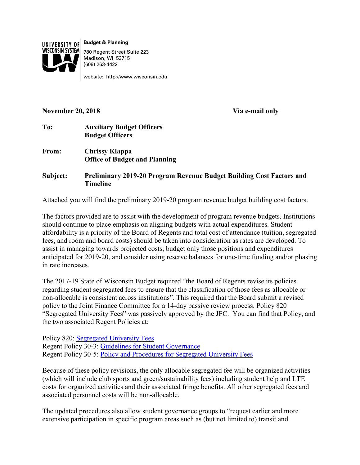

**Budget & Planning** 780 Regent Street Suite 223 Madison, WI 53715 (608) 263-4422

website: http://www.wisconsin.edu

#### **November 20, 2018 Via e-mail only**

- **To: Auxiliary Budget Officers Budget Officers**
- **From: Chrissy Klappa Office of Budget and Planning**

**Subject: Preliminary 2019-20 Program Revenue Budget Building Cost Factors and Timeline**

Attached you will find the preliminary 2019-20 program revenue budget building cost factors.

The factors provided are to assist with the development of program revenue budgets. Institutions should continue to place emphasis on aligning budgets with actual expenditures. Student affordability is a priority of the Board of Regents and total cost of attendance (tuition, segregated fees, and room and board costs) should be taken into consideration as rates are developed. To assist in managing towards projected costs, budget only those positions and expenditures anticipated for 2019-20, and consider using reserve balances for one-time funding and/or phasing in rate increases.

The 2017-19 State of Wisconsin Budget required "the Board of Regents revise its policies regarding student segregated fees to ensure that the classification of those fees as allocable or non-allocable is consistent across institutions". This required that the Board submit a revised policy to the Joint Finance Committee for a 14-day passive review process. Policy 820 "Segregated University Fees" was passively approved by the JFC. You can find that Policy, and the two associated Regent Policies at:

Policy 820: [Segregated University Fees](https://www.wisconsin.edu/uw-policies/uw-system-administrative-policies/segregated-university-fees/) Regent Policy 30-3: [Guidelines for Student Governance](https://www.wisconsin.edu/regents/policies/guidelines-for-student-governance/) Regent Policy 30-5: Policy and [Procedures for Segregated University Fees](https://www.wisconsin.edu/regents/policies/policy-and-procedures-for-segregated-university-fees/)

Because of these policy revisions, the only allocable segregated fee will be organized activities (which will include club sports and green/sustainability fees) including student help and LTE costs for organized activities and their associated fringe benefits. All other segregated fees and associated personnel costs will be non-allocable.

The updated procedures also allow student governance groups to "request earlier and more extensive participation in specific program areas such as (but not limited to) transit and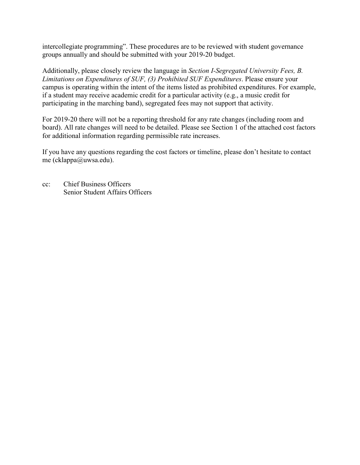intercollegiate programming". These procedures are to be reviewed with student governance groups annually and should be submitted with your 2019-20 budget.

Additionally, please closely review the language in *Section I-Segregated University Fees, B. Limitations on Expenditures of SUF, (3) Prohibited SUF Expenditures*. Please ensure your campus is operating within the intent of the items listed as prohibited expenditures. For example, if a student may receive academic credit for a particular activity (e.g., a music credit for participating in the marching band), segregated fees may not support that activity.

For 2019-20 there will not be a reporting threshold for any rate changes (including room and board). All rate changes will need to be detailed. Please see Section 1 of the attached cost factors for additional information regarding permissible rate increases.

If you have any questions regarding the cost factors or timeline, please don't hesitate to contact me (cklappa@uwsa.edu).

cc: Chief Business Officers Senior Student Affairs Officers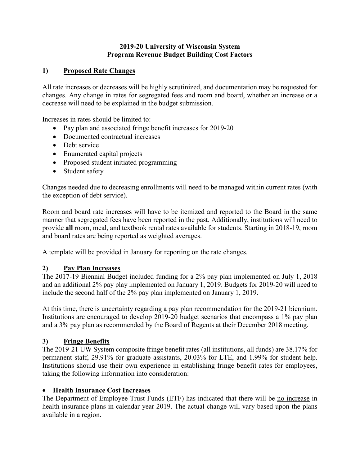# **2019-20 University of Wisconsin System Program Revenue Budget Building Cost Factors**

# **1) Proposed Rate Changes**

All rate increases or decreases will be highly scrutinized, and documentation may be requested for changes. Any change in rates for segregated fees and room and board, whether an increase or a decrease will need to be explained in the budget submission.

Increases in rates should be limited to:

- Pay plan and associated fringe benefit increases for 2019-20
- Documented contractual increases
- Debt service
- Enumerated capital projects
- Proposed student initiated programming
- Student safety

Changes needed due to decreasing enrollments will need to be managed within current rates (with the exception of debt service).

Room and board rate increases will have to be itemized and reported to the Board in the same manner that segregated fees have been reported in the past. Additionally, institutions will need to provide **all** room, meal, and textbook rental rates available for students. Starting in 2018-19, room and board rates are being reported as weighted averages.

A template will be provided in January for reporting on the rate changes.

# **2) Pay Plan Increases**

The 2017-19 Biennial Budget included funding for a 2% pay plan implemented on July 1, 2018 and an additional 2% pay play implemented on January 1, 2019. Budgets for 2019-20 will need to include the second half of the 2% pay plan implemented on January 1, 2019.

At this time, there is uncertainty regarding a pay plan recommendation for the 2019-21 biennium. Institutions are encouraged to develop 2019-20 budget scenarios that encompass a 1% pay plan and a 3% pay plan as recommended by the Board of Regents at their December 2018 meeting.

# **3) Fringe Benefits**

The 2019-21 UW System composite fringe benefit rates (all institutions, all funds) are 38.17% for permanent staff, 29.91% for graduate assistants, 20.03% for LTE, and 1.99% for student help. Institutions should use their own experience in establishing fringe benefit rates for employees, taking the following information into consideration:

# • **Health Insurance Cost Increases**

The Department of Employee Trust Funds (ETF) has indicated that there will be no increase in health insurance plans in calendar year 2019. The actual change will vary based upon the plans available in a region.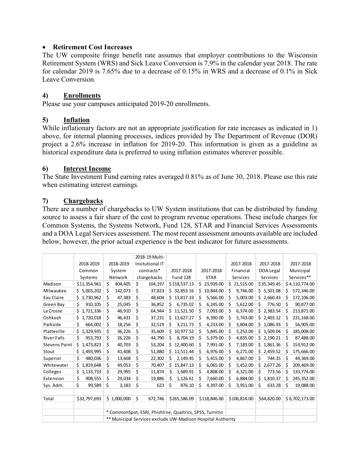### • **Retirement Cost Increases**

The UW composite fringe benefit rate assumes that employer contributions to the Wisconsin Retirement System (WRS) and Sick Leave Conversion is 7.9% in the calendar year 2018. The rate for calendar 2019 is 7.65% due to a decrease of 0.15% in WRS and a decrease of 0.1% in Sick Leave Conversion.

### **4) Enrollments**

Please use your campuses anticipated 2019-20 enrollments.

### **5) Inflation**

While inflationary factors are not an appropriate justification for rate increases as indicated in 1) above, for internal planning processes, indices provided by The Department of Revenue (DOR) project a 2.6% increase in inflation for 2019-20. This information is given as a guideline as historical expenditure data is preferred to using inflation estimates wherever possible.

#### **6) Interest Income**

The State Investment Fund earning rates averaged 0.81% as of June 30, 2018. Please use this rate when estimating interest earnings.

### **7) Chargebacks**

There are a number of chargebacks to UW System institutions that can be distributed by funding source to assess a fair share of the cost to program revenue operations. These include charges for Common Systems, the Systems Network, Fund 128, STAR and Financial Services Assessments and a DOA Legal Services assessment. The most recent assessment amounts available are included below, however, the prior actual experience is the best indicator for future assessments.

|                      |                 |             |                                                             | 2018-19 Multi-                                           |         |                 |              |           |              |           |              |                |                |
|----------------------|-----------------|-------------|-------------------------------------------------------------|----------------------------------------------------------|---------|-----------------|--------------|-----------|--------------|-----------|--------------|----------------|----------------|
|                      | 2018-2019       | 2018-2019   |                                                             | Insitutional IT                                          |         |                 |              |           | 2017-2018    |           | 2017-2018    | 2017-2018      |                |
|                      | Common          | System      |                                                             | contracts*                                               |         | 2017-2018       | 2017-2018    |           | Financial    |           | DOA Legal    |                | Municipal      |
|                      | Systems         | Network     |                                                             | chargebacks                                              |         | <b>Fund 128</b> | <b>STAR</b>  |           | Services     |           | Services     |                | Services**     |
| Madison              | \$11,354,961    | \$          | 404,405                                                     | \$                                                       | 104,197 | \$118,537.13    | \$           | 23,939.00 | Ś.           | 21,515.00 | \$35,349.45  |                | \$4,110,774.00 |
| Milwaukee            | 5,003,202<br>Ś. | \$          | 142,073                                                     | \$                                                       | 37,823  | \$32,853.16     | Ś.           | 10,844.00 | Ś            | 9,746.00  | \$5,501.08   | \$             | 572,346.00     |
| Eau Claire           | Ś.<br>1,730,962 | \$          | 47,383                                                      | \$                                                       | 48,604  | Ś.<br>13,817.33 | Ś            | 5,566.00  | Ś            | 5,003.00  | \$2,660.43   | \$             | 172,106.00     |
| Green Bay            | \$<br>910,105   | \$          | 25,045                                                      | \$                                                       | 36,852  | \$<br>6,735.02  | \$           | 6,245.00  | \$           | 5,612.00  | \$<br>776.50 | \$             | 90,877.00      |
| La Crosse            | 1,721,336<br>Ś. | \$          | 46,910                                                      | \$                                                       | 64,944  | \$11,521.50     | Ś.           | 7,093.00  | Ś            | 6,374.00  | \$2,383.54   | \$             | 213,871.00     |
| Oshkosh              | \$<br>1,720,018 | \$          | 46,431                                                      | \$                                                       | 37,231  | 13,627.27<br>Ś. | \$           | 6,390.00  | \$           | 5,743.00  | \$2,403.12   | \$             | 231,168.00     |
| Parkside             | Ś<br>664,002    | \$          | 18,256                                                      | \$                                                       | 32,519  | Ś.<br>3,211.73  | Ŝ.           | 4,233.00  | Ś.           | 3,804.00  | \$1,086.93   | \$             | 56,905.00      |
| Platteville          | \$<br>1,329,935 | \$          | 36,226                                                      | \$                                                       | 35,609  | 10,977.52<br>Ś  | \$           | 5,845.00  | \$           | 5,253.00  | \$1,509.04   | \$             | 185,008.00     |
| <b>River Falls</b>   | Ś<br>953,793    | \$          | 26,226                                                      | \$                                                       | 44,790  | Ś.<br>8,704.19  | \$           | 5,379.00  | \$           | 4,835.00  | \$2,190.21   | \$             | 87,488.00      |
| <b>Stevens Point</b> | 1,473,823<br>Ś. | \$          | 40,703                                                      | \$                                                       | 53,204  | 12,400.60<br>Ś. | S            | 7,991.00  | \$           | 7,183.00  | \$1,861.36   | \$             | 153,912.00     |
| Stout                | Ś.<br>1,493,995 | \$          | 41,408                                                      | \$                                                       | 51,880  | \$<br>11,511.44 | \$           | 6,976.00  | \$           | 6,271.00  | \$2,459.52   | \$             | 175,666.00     |
| Superior             | \$<br>480,036   | \$          | 13,668                                                      | \$                                                       | 22,302  | 2,149.45<br>Ś.  | Ś            | 5,415.00  | \$           | 4,867.00  | \$<br>744.35 | \$             | 44,369.00      |
| Whitewater           | \$<br>1,819,648 | \$          | 49,053                                                      | \$                                                       | 70,407  | Ś.<br>15,847.13 | Ś            | 6,065.00  | Ś            | 5,452.00  | \$2,677.26   | \$             | 209,469.00     |
| Colleges             | \$<br>1,133,733 | \$          | 29,995                                                      | \$                                                       | 11,874  | \$<br>1,689.91  | Ś            | 4,808.00  | \$           | 4,321.00  | \$<br>773.56 | \$             | 133,774.00     |
| Extension            | \$<br>908,555   | \$          | 29,034                                                      | \$                                                       | 19,886  | 1,126.61<br>Ś   | Ś            | 7,660.00  | Ś            | 6,884.00  | \$1,810.37   | Ś              | 245,352.00     |
| Sys. Adm.            | \$<br>99,589    | \$          | 3,183                                                       | \$                                                       | 623     | \$<br>876.10    | \$           | 4,397.00  | \$           | 3,951.00  | \$<br>633.28 | \$             | 19,088.00      |
| Total                | \$32,797,693    | \$1,000,000 |                                                             | \$<br>672,746                                            |         | \$265,586.09    | \$118,846.00 |           | \$106,814.00 |           | \$64,820.00  | \$6,702,173.00 |                |
|                      |                 |             |                                                             | * CommonSpot, ESRI, Phishline, Qualtrics, SPSS, Turnitin |         |                 |              |           |              |           |              |                |                |
|                      |                 |             | ** Municipal Services exclude UW-Madison Hospital Authority |                                                          |         |                 |              |           |              |           |              |                |                |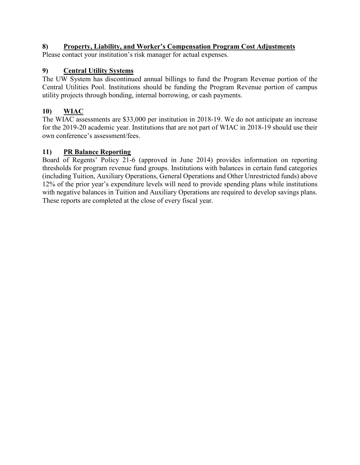# **8) Property, Liability, and Worker's Compensation Program Cost Adjustments**

Please contact your institution's risk manager for actual expenses.

# **9) Central Utility Systems**

The UW System has discontinued annual billings to fund the Program Revenue portion of the Central Utilities Pool. Institutions should be funding the Program Revenue portion of campus utility projects through bonding, internal borrowing, or cash payments.

# **10) WIAC**

The WIAC assessments are \$33,000 per institution in 2018-19. We do not anticipate an increase for the 2019-20 academic year. Institutions that are not part of WIAC in 2018-19 should use their own conference's assessment/fees.

# **11) PR Balance Reporting**

Board of Regents' Policy 21-6 (approved in June 2014) provides information on reporting thresholds for program revenue fund groups. Institutions with balances in certain fund categories (including Tuition, Auxiliary Operations, General Operations and Other Unrestricted funds) above 12% of the prior year's expenditure levels will need to provide spending plans while institutions with negative balances in Tuition and Auxiliary Operations are required to develop savings plans. These reports are completed at the close of every fiscal year.